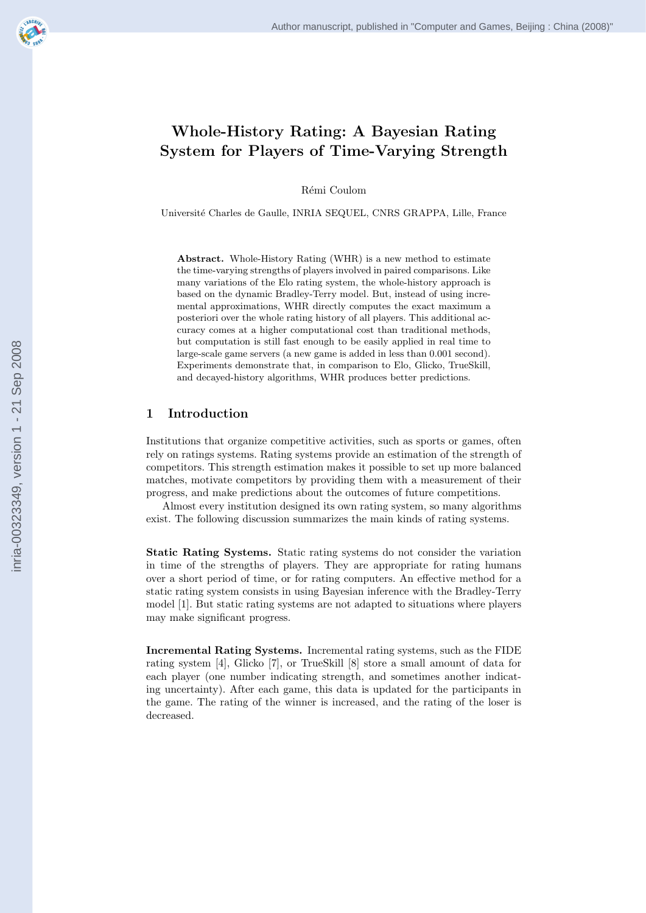

# Whole-History Rating: A Bayesian Rating System for Players of Time-Varying Strength

Rémi Coulom

Universit´e Charles de Gaulle, INRIA SEQUEL, CNRS GRAPPA, Lille, France

Abstract. Whole-History Rating (WHR) is a new method to estimate the time-varying strengths of players involved in paired comparisons. Like many variations of the Elo rating system, the whole-history approach is based on the dynamic Bradley-Terry model. But, instead of using incremental approximations, WHR directly computes the exact maximum a posteriori over the whole rating history of all players. This additional accuracy comes at a higher computational cost than traditional methods, but computation is still fast enough to be easily applied in real time to large-scale game servers (a new game is added in less than 0.001 second). Experiments demonstrate that, in comparison to Elo, Glicko, TrueSkill, and decayed-history algorithms, WHR produces better predictions.

# 1 Introduction

Institutions that organize competitive activities, such as sports or games, often rely on ratings systems. Rating systems provide an estimation of the strength of competitors. This strength estimation makes it possible to set up more balanced matches, motivate competitors by providing them with a measurement of their progress, and make predictions about the outcomes of future competitions.

Almost every institution designed its own rating system, so many algorithms exist. The following discussion summarizes the main kinds of rating systems.

Static Rating Systems. Static rating systems do not consider the variation in time of the strengths of players. They are appropriate for rating humans over a short period of time, or for rating computers. An effective method for a static rating system consists in using Bayesian inference with the Bradley-Terry model [1]. But static rating systems are not adapted to situations where players may make significant progress.

Incremental Rating Systems. Incremental rating systems, such as the FIDE rating system [4], Glicko [7], or TrueSkill [8] store a small amount of data for each player (one number indicating strength, and sometimes another indicating uncertainty). After each game, this data is updated for the participants in the game. The rating of the winner is increased, and the rating of the loser is decreased.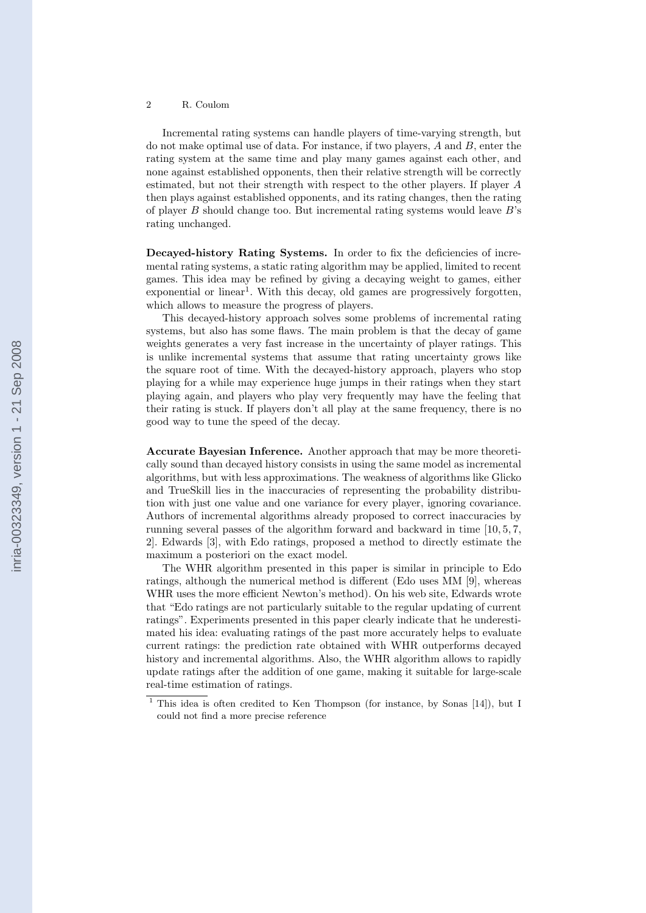Incremental rating systems can handle players of time-varying strength, but do not make optimal use of data. For instance, if two players,  $A$  and  $B$ , enter the rating system at the same time and play many games against each other, and none against established opponents, then their relative strength will be correctly estimated, but not their strength with respect to the other players. If player A then plays against established opponents, and its rating changes, then the rating of player  $B$  should change too. But incremental rating systems would leave  $B$ 's rating unchanged.

Decayed-history Rating Systems. In order to fix the deficiencies of incremental rating systems, a static rating algorithm may be applied, limited to recent games. This idea may be refined by giving a decaying weight to games, either exponential or linear<sup>1</sup>. With this decay, old games are progressively forgotten, which allows to measure the progress of players.

This decayed-history approach solves some problems of incremental rating systems, but also has some flaws. The main problem is that the decay of game weights generates a very fast increase in the uncertainty of player ratings. This is unlike incremental systems that assume that rating uncertainty grows like the square root of time. With the decayed-history approach, players who stop playing for a while may experience huge jumps in their ratings when they start playing again, and players who play very frequently may have the feeling that their rating is stuck. If players don't all play at the same frequency, there is no good way to tune the speed of the decay.

Accurate Bayesian Inference. Another approach that may be more theoretically sound than decayed history consists in using the same model as incremental algorithms, but with less approximations. The weakness of algorithms like Glicko and TrueSkill lies in the inaccuracies of representing the probability distribution with just one value and one variance for every player, ignoring covariance. Authors of incremental algorithms already proposed to correct inaccuracies by running several passes of the algorithm forward and backward in time [10, 5, 7, 2]. Edwards [3], with Edo ratings, proposed a method to directly estimate the maximum a posteriori on the exact model.

The WHR algorithm presented in this paper is similar in principle to Edo ratings, although the numerical method is different (Edo uses MM [9], whereas WHR uses the more efficient Newton's method). On his web site, Edwards wrote that "Edo ratings are not particularly suitable to the regular updating of current ratings". Experiments presented in this paper clearly indicate that he underestimated his idea: evaluating ratings of the past more accurately helps to evaluate current ratings: the prediction rate obtained with WHR outperforms decayed history and incremental algorithms. Also, the WHR algorithm allows to rapidly update ratings after the addition of one game, making it suitable for large-scale real-time estimation of ratings.

<sup>1</sup> This idea is often credited to Ken Thompson (for instance, by Sonas [14]), but I could not find a more precise reference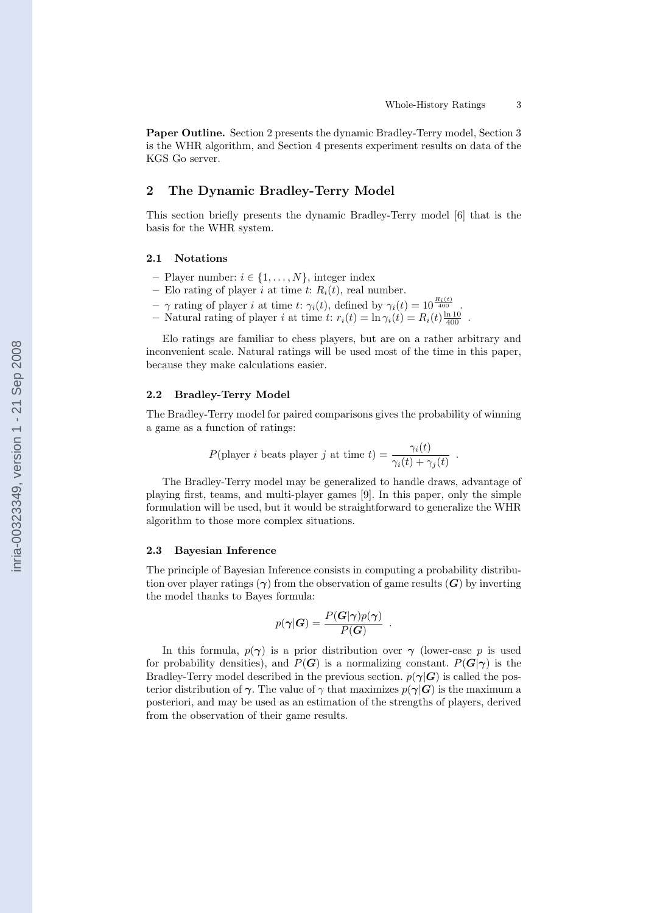Paper Outline. Section 2 presents the dynamic Bradley-Terry model, Section 3 is the WHR algorithm, and Section 4 presents experiment results on data of the KGS Go server.

## 2 The Dynamic Bradley-Terry Model

This section briefly presents the dynamic Bradley-Terry model [6] that is the basis for the WHR system.

#### 2.1 Notations

- Player number:  $i \in \{1, \ldots, N\}$ , integer index
- Elo rating of player i at time t:  $R_i(t)$ , real number.
- $\gamma$  rating of player *i* at time *t*:  $\gamma_i(t)$ , defined by  $\gamma_i(t) = 10^{\frac{R_i(t)}{400}}$ .
- Natural rating of player *i* at time *t*:  $r_i(t) = \ln \gamma_i(t) = R_i(t) \frac{\ln 10}{400}$ .

Elo ratings are familiar to chess players, but are on a rather arbitrary and inconvenient scale. Natural ratings will be used most of the time in this paper, because they make calculations easier.

#### 2.2 Bradley-Terry Model

The Bradley-Terry model for paired comparisons gives the probability of winning a game as a function of ratings:

$$
P(\text{player } i \text{ beats player } j \text{ at time } t) = \frac{\gamma_i(t)}{\gamma_i(t) + \gamma_j(t)}.
$$

The Bradley-Terry model may be generalized to handle draws, advantage of playing first, teams, and multi-player games [9]. In this paper, only the simple formulation will be used, but it would be straightforward to generalize the WHR algorithm to those more complex situations.

#### 2.3 Bayesian Inference

The principle of Bayesian Inference consists in computing a probability distribution over player ratings ( $\gamma$ ) from the observation of game results ( $\boldsymbol{G}$ ) by inverting the model thanks to Bayes formula:

$$
p(\boldsymbol{\gamma}|\boldsymbol{G}) = \frac{P(\boldsymbol{G}|\boldsymbol{\gamma})p(\boldsymbol{\gamma})}{P(\boldsymbol{G})} \enspace .
$$

In this formula,  $p(\gamma)$  is a prior distribution over  $\gamma$  (lower-case p is used for probability densities), and  $P(G)$  is a normalizing constant.  $P(G|\gamma)$  is the Bradley-Terry model described in the previous section.  $p(\gamma|\mathbf{G})$  is called the posterior distribution of  $\gamma$ . The value of  $\gamma$  that maximizes  $p(\gamma|\mathbf{G})$  is the maximum a posteriori, and may be used as an estimation of the strengths of players, derived from the observation of their game results.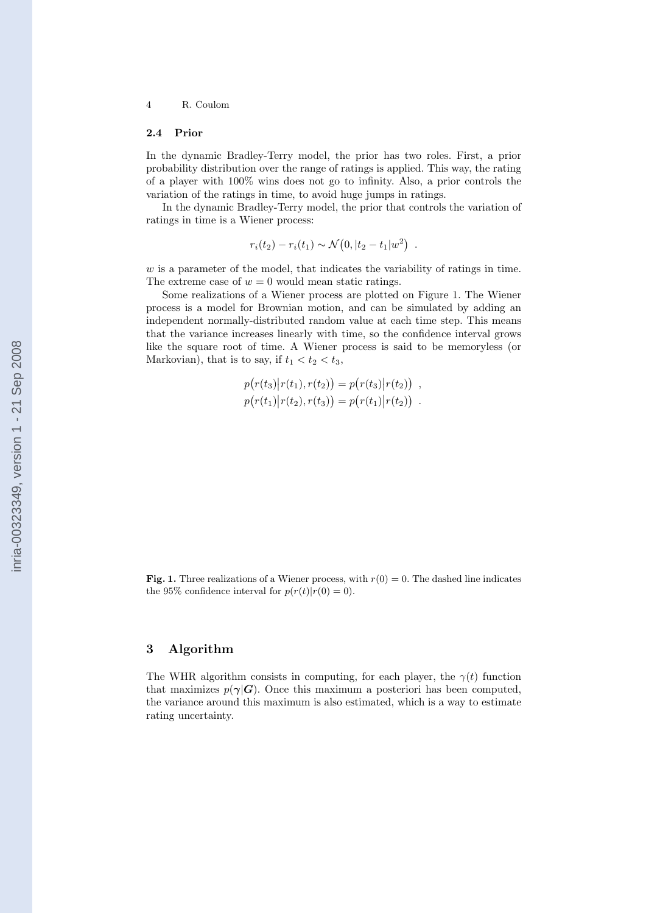#### 2.4 Prior

In the dynamic Bradley-Terry model, the prior has two roles. First, a prior probability distribution over the range of ratings is applied. This way, the rating of a player with 100% wins does not go to infinity. Also, a prior controls the variation of the ratings in time, to avoid huge jumps in ratings.

In the dynamic Bradley-Terry model, the prior that controls the variation of ratings in time is a Wiener process:

$$
r_i(t_2) - r_i(t_1) \sim \mathcal{N}(0, |t_2 - t_1|w^2) .
$$

 $w$  is a parameter of the model, that indicates the variability of ratings in time. The extreme case of  $w = 0$  would mean static ratings.

Some realizations of a Wiener process are plotted on Figure 1. The Wiener process is a model for Brownian motion, and can be simulated by adding an independent normally-distributed random value at each time step. This means that the variance increases linearly with time, so the confidence interval grows like the square root of time. A Wiener process is said to be memoryless (or Markovian), that is to say, if  $t_1 < t_2 < t_3$ ,

$$
p(r(t_3)|r(t_1),r(t_2)) = p(r(t_3)|r(t_2)) ,p(r(t_1)|r(t_2),r(t_3)) = p(r(t_1)|r(t_2)) .
$$

**Fig. 1.** Three realizations of a Wiener process, with  $r(0) = 0$ . The dashed line indicates the 95% confidence interval for  $p(r(t)|r(0) = 0)$ .

# 3 Algorithm

The WHR algorithm consists in computing, for each player, the  $\gamma(t)$  function that maximizes  $p(\gamma|\mathbf{G})$ . Once this maximum a posteriori has been computed, the variance around this maximum is also estimated, which is a way to estimate rating uncertainty.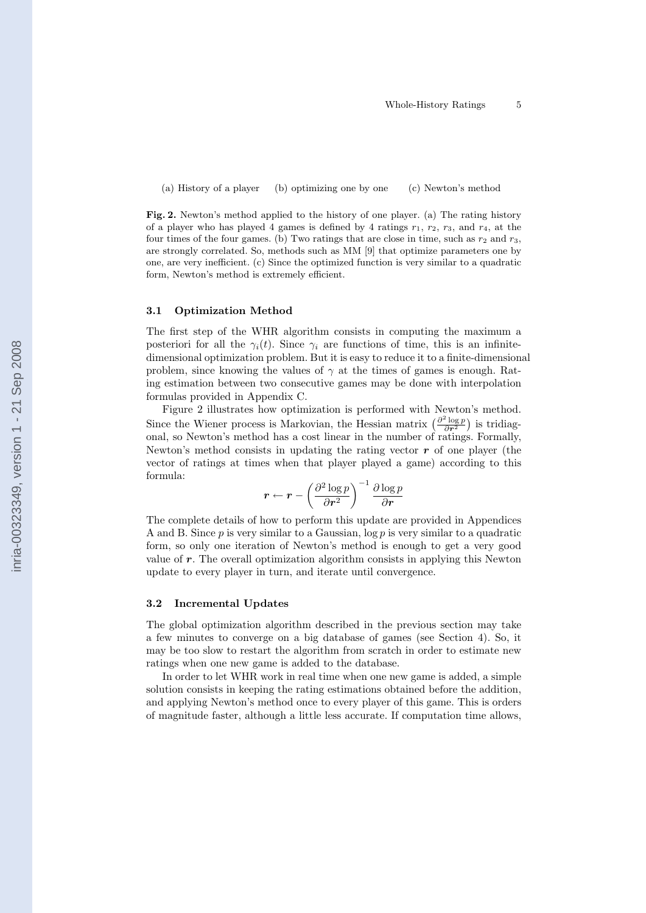(a) History of a player (b) optimizing one by one (c) Newton's method

Fig. 2. Newton's method applied to the history of one player. (a) The rating history of a player who has played 4 games is defined by 4 ratings  $r_1$ ,  $r_2$ ,  $r_3$ , and  $r_4$ , at the four times of the four games. (b) Two ratings that are close in time, such as  $r_2$  and  $r_3$ , are strongly correlated. So, methods such as MM [9] that optimize parameters one by one, are very inefficient. (c) Since the optimized function is very similar to a quadratic form, Newton's method is extremely efficient.

#### 3.1 Optimization Method

The first step of the WHR algorithm consists in computing the maximum a posteriori for all the  $\gamma_i(t)$ . Since  $\gamma_i$  are functions of time, this is an infinitedimensional optimization problem. But it is easy to reduce it to a finite-dimensional problem, since knowing the values of  $\gamma$  at the times of games is enough. Rating estimation between two consecutive games may be done with interpolation formulas provided in Appendix C.

Figure 2 illustrates how optimization is performed with Newton's method. Since the Wiener process is Markovian, the Hessian matrix  $\left(\frac{\partial^2 \log p}{\partial r^2}\right)$  is tridiagonal, so Newton's method has a cost linear in the number of ratings. Formally, Newton's method consists in updating the rating vector  $\boldsymbol{r}$  of one player (the vector of ratings at times when that player played a game) according to this formula:

$$
\boldsymbol{r} \leftarrow \boldsymbol{r} - \left(\frac{\partial^2 \log p}{\partial r^2}\right)^{-1} \frac{\partial \log p}{\partial \boldsymbol{r}}
$$

The complete details of how to perform this update are provided in Appendices A and B. Since  $p$  is very similar to a Gaussian,  $\log p$  is very similar to a quadratic form, so only one iteration of Newton's method is enough to get a very good value of  $r$ . The overall optimization algorithm consists in applying this Newton update to every player in turn, and iterate until convergence.

#### 3.2 Incremental Updates

The global optimization algorithm described in the previous section may take a few minutes to converge on a big database of games (see Section 4). So, it may be too slow to restart the algorithm from scratch in order to estimate new ratings when one new game is added to the database.

In order to let WHR work in real time when one new game is added, a simple solution consists in keeping the rating estimations obtained before the addition, and applying Newton's method once to every player of this game. This is orders of magnitude faster, although a little less accurate. If computation time allows,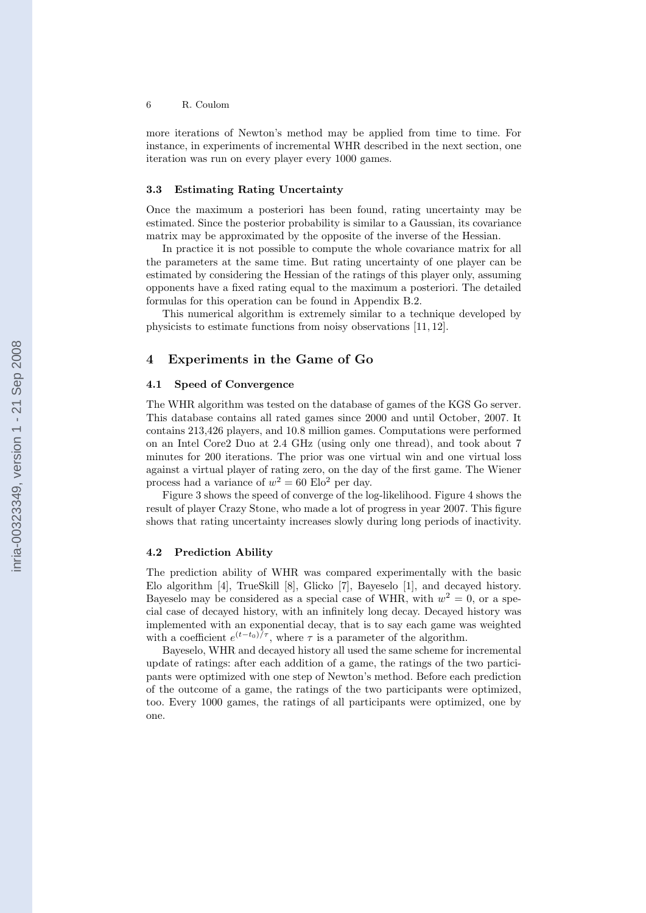more iterations of Newton's method may be applied from time to time. For instance, in experiments of incremental WHR described in the next section, one iteration was run on every player every 1000 games.

#### 3.3 Estimating Rating Uncertainty

Once the maximum a posteriori has been found, rating uncertainty may be estimated. Since the posterior probability is similar to a Gaussian, its covariance matrix may be approximated by the opposite of the inverse of the Hessian.

In practice it is not possible to compute the whole covariance matrix for all the parameters at the same time. But rating uncertainty of one player can be estimated by considering the Hessian of the ratings of this player only, assuming opponents have a fixed rating equal to the maximum a posteriori. The detailed formulas for this operation can be found in Appendix B.2.

This numerical algorithm is extremely similar to a technique developed by physicists to estimate functions from noisy observations [11, 12].

## 4 Experiments in the Game of Go

#### 4.1 Speed of Convergence

The WHR algorithm was tested on the database of games of the KGS Go server. This database contains all rated games since 2000 and until October, 2007. It contains 213,426 players, and 10.8 million games. Computations were performed on an Intel Core2 Duo at 2.4 GHz (using only one thread), and took about 7 minutes for 200 iterations. The prior was one virtual win and one virtual loss against a virtual player of rating zero, on the day of the first game. The Wiener process had a variance of  $w^2 = 60$  Elo<sup>2</sup> per day.

Figure 3 shows the speed of converge of the log-likelihood. Figure 4 shows the result of player Crazy Stone, who made a lot of progress in year 2007. This figure shows that rating uncertainty increases slowly during long periods of inactivity.

#### 4.2 Prediction Ability

The prediction ability of WHR was compared experimentally with the basic Elo algorithm [4], TrueSkill [8], Glicko [7], Bayeselo [1], and decayed history. Bayeselo may be considered as a special case of WHR, with  $w^2 = 0$ , or a special case of decayed history, with an infinitely long decay. Decayed history was implemented with an exponential decay, that is to say each game was weighted with a coefficient  $e^{(t-t_0)/\tau}$ , where  $\tau$  is a parameter of the algorithm.

Bayeselo, WHR and decayed history all used the same scheme for incremental update of ratings: after each addition of a game, the ratings of the two participants were optimized with one step of Newton's method. Before each prediction of the outcome of a game, the ratings of the two participants were optimized, too. Every 1000 games, the ratings of all participants were optimized, one by one.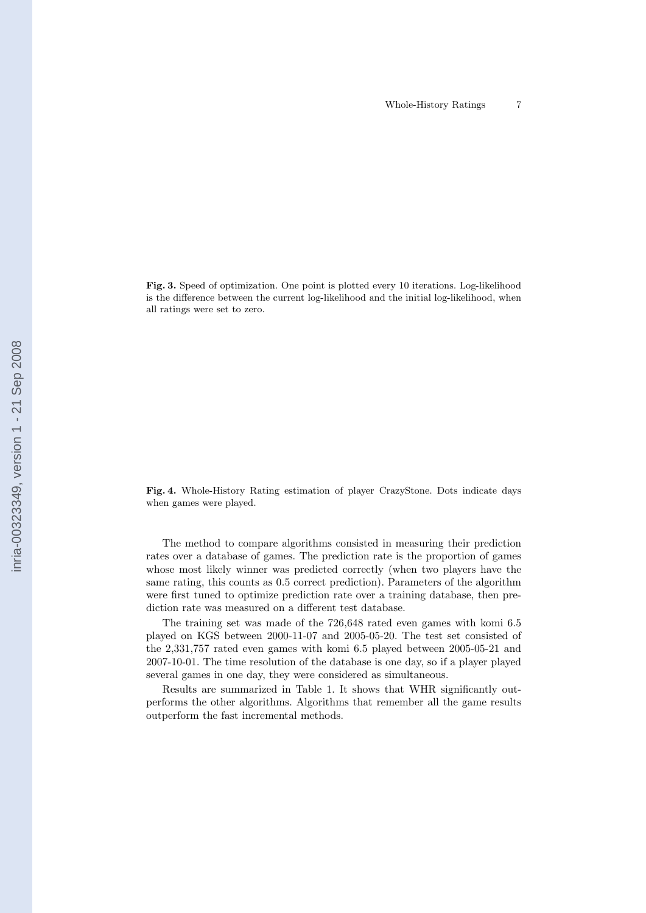Fig. 3. Speed of optimization. One point is plotted every 10 iterations. Log-likelihood is the difference between the current log-likelihood and the initial log-likelihood, when all ratings were set to zero.

Fig. 4. Whole-History Rating estimation of player CrazyStone. Dots indicate days when games were played.

The method to compare algorithms consisted in measuring their prediction rates over a database of games. The prediction rate is the proportion of games whose most likely winner was predicted correctly (when two players have the same rating, this counts as 0.5 correct prediction). Parameters of the algorithm were first tuned to optimize prediction rate over a training database, then prediction rate was measured on a different test database.

The training set was made of the 726,648 rated even games with komi 6.5 played on KGS between 2000-11-07 and 2005-05-20. The test set consisted of the 2,331,757 rated even games with komi 6.5 played between 2005-05-21 and 2007-10-01. The time resolution of the database is one day, so if a player played several games in one day, they were considered as simultaneous.

Results are summarized in Table 1. It shows that WHR significantly outperforms the other algorithms. Algorithms that remember all the game results outperform the fast incremental methods.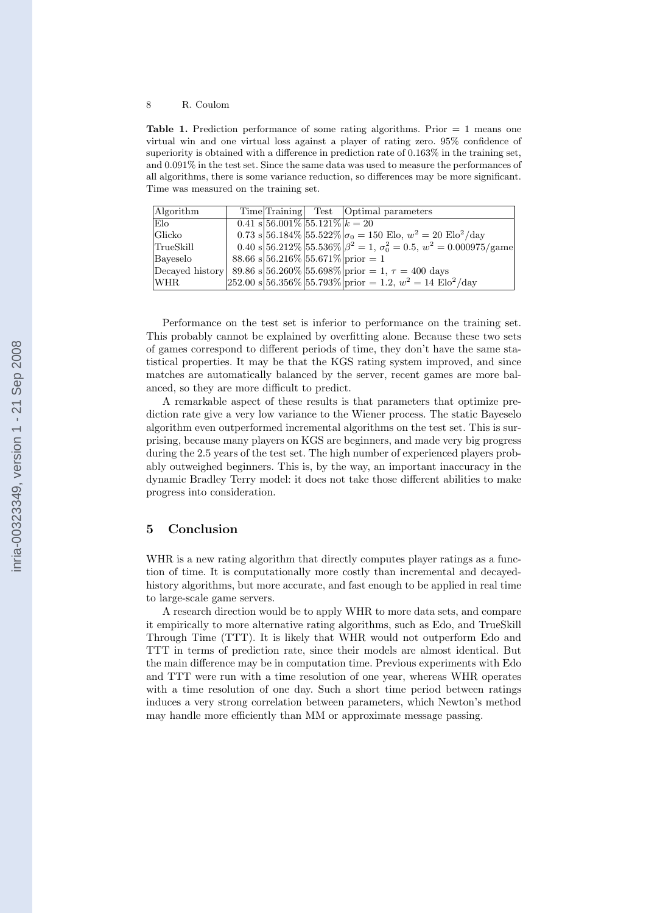**Table 1.** Prediction performance of some rating algorithms. Prior  $= 1$  means one virtual win and one virtual loss against a player of rating zero. 95% confidence of superiority is obtained with a difference in prediction rate of 0.163% in the training set, and 0.091% in the test set. Since the same data was used to measure the performances of all algorithms, there is some variance reduction, so differences may be more significant. Time was measured on the training set.

| Algorithm       |                                                          | Time Training Test   Optimal parameters                                              |
|-----------------|----------------------------------------------------------|--------------------------------------------------------------------------------------|
| Elo             | $0.41 \text{ s} \mid 56.001\% \mid 55.121\% \mid k = 20$ |                                                                                      |
| Glicko          |                                                          | $0.73$ s 56.184\% 55.522\% $\sigma_0 = 150$ Elo, $w^2 = 20$ Elo <sup>2</sup> /day    |
| TrueSkill       |                                                          | 0.40 s 56.212% 55.536% $\beta^2 = 1$ , $\sigma_0^2 = 0.5$ , $w^2 = 0.000975$ /game   |
| Bayeselo        |                                                          | $88.66 \text{ s} \cdot 56.216\% \cdot 55.671\% \cdot \text{prior} = 1$               |
| Decayed history |                                                          | 89.86 s 56.260% 55.698% prior = 1, $\tau$ = 400 days                                 |
| <b>WHR</b>      |                                                          | $ 252.00 \text{ s} 56.356\% 55.793\% prior = 1.2, w^2 = 14 \text{ Elo}^2/\text{day}$ |

Performance on the test set is inferior to performance on the training set. This probably cannot be explained by overfitting alone. Because these two sets of games correspond to different periods of time, they don't have the same statistical properties. It may be that the KGS rating system improved, and since matches are automatically balanced by the server, recent games are more balanced, so they are more difficult to predict.

A remarkable aspect of these results is that parameters that optimize prediction rate give a very low variance to the Wiener process. The static Bayeselo algorithm even outperformed incremental algorithms on the test set. This is surprising, because many players on KGS are beginners, and made very big progress during the 2.5 years of the test set. The high number of experienced players probably outweighed beginners. This is, by the way, an important inaccuracy in the dynamic Bradley Terry model: it does not take those different abilities to make progress into consideration.

# 5 Conclusion

WHR is a new rating algorithm that directly computes player ratings as a function of time. It is computationally more costly than incremental and decayedhistory algorithms, but more accurate, and fast enough to be applied in real time to large-scale game servers.

A research direction would be to apply WHR to more data sets, and compare it empirically to more alternative rating algorithms, such as Edo, and TrueSkill Through Time (TTT). It is likely that WHR would not outperform Edo and TTT in terms of prediction rate, since their models are almost identical. But the main difference may be in computation time. Previous experiments with Edo and TTT were run with a time resolution of one year, whereas WHR operates with a time resolution of one day. Such a short time period between ratings induces a very strong correlation between parameters, which Newton's method may handle more efficiently than MM or approximate message passing.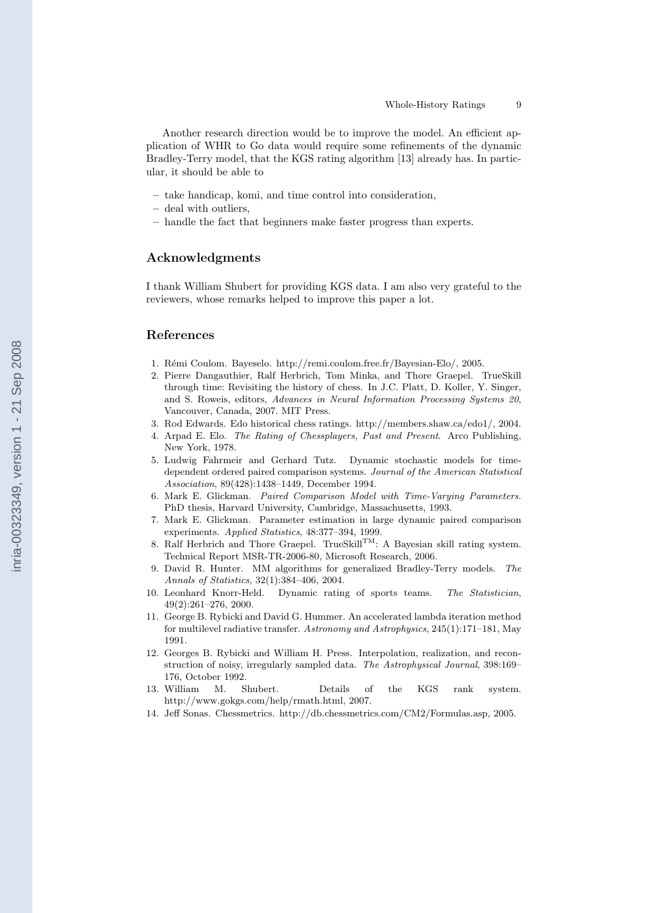Another research direction would be to improve the model. An efficient application of WHR to Go data would require some refinements of the dynamic Bradley-Terry model, that the KGS rating algorithm [13] already has. In particular, it should be able to

- take handicap, komi, and time control into consideration,
- deal with outliers,
- handle the fact that beginners make faster progress than experts.

## Acknowledgments

I thank William Shubert for providing KGS data. I am also very grateful to the reviewers, whose remarks helped to improve this paper a lot.

## References

- 1. Rémi Coulom. Bayeselo. http://remi.coulom.free.fr/Bayesian-Elo/, 2005.
- 2. Pierre Dangauthier, Ralf Herbrich, Tom Minka, and Thore Graepel. TrueSkill through time: Revisiting the history of chess. In J.C. Platt, D. Koller, Y. Singer, and S. Roweis, editors, Advances in Neural Information Processing Systems 20, Vancouver, Canada, 2007. MIT Press.
- 3. Rod Edwards. Edo historical chess ratings. http://members.shaw.ca/edo1/, 2004.
- 4. Arpad E. Elo. The Rating of Chessplayers, Past and Present. Arco Publishing, New York, 1978.
- 5. Ludwig Fahrmeir and Gerhard Tutz. Dynamic stochastic models for timedependent ordered paired comparison systems. Journal of the American Statistical Association, 89(428):1438–1449, December 1994.
- 6. Mark E. Glickman. Paired Comparison Model with Time-Varying Parameters. PhD thesis, Harvard University, Cambridge, Massachusetts, 1993.
- 7. Mark E. Glickman. Parameter estimation in large dynamic paired comparison experiments. Applied Statistics, 48:377–394, 1999.
- 8. Ralf Herbrich and Thore Graepel. TrueSkill<sup>TM</sup>: A Bayesian skill rating system. Technical Report MSR-TR-2006-80, Microsoft Research, 2006.
- 9. David R. Hunter. MM algorithms for generalized Bradley-Terry models. The Annals of Statistics, 32(1):384–406, 2004.
- 10. Leonhard Knorr-Held. Dynamic rating of sports teams. The Statistician, 49(2):261–276, 2000.
- 11. George B. Rybicki and David G. Hummer. An accelerated lambda iteration method for multilevel radiative transfer. Astronomy and Astrophysics, 245(1):171–181, May 1991.
- 12. Georges B. Rybicki and William H. Press. Interpolation, realization, and reconstruction of noisy, irregularly sampled data. The Astrophysical Journal, 398:169– 176, October 1992.
- 13. William M. Shubert. Details of the KGS rank system. http://www.gokgs.com/help/rmath.html, 2007.
- 14. Jeff Sonas. Chessmetrics. http://db.chessmetrics.com/CM2/Formulas.asp, 2005.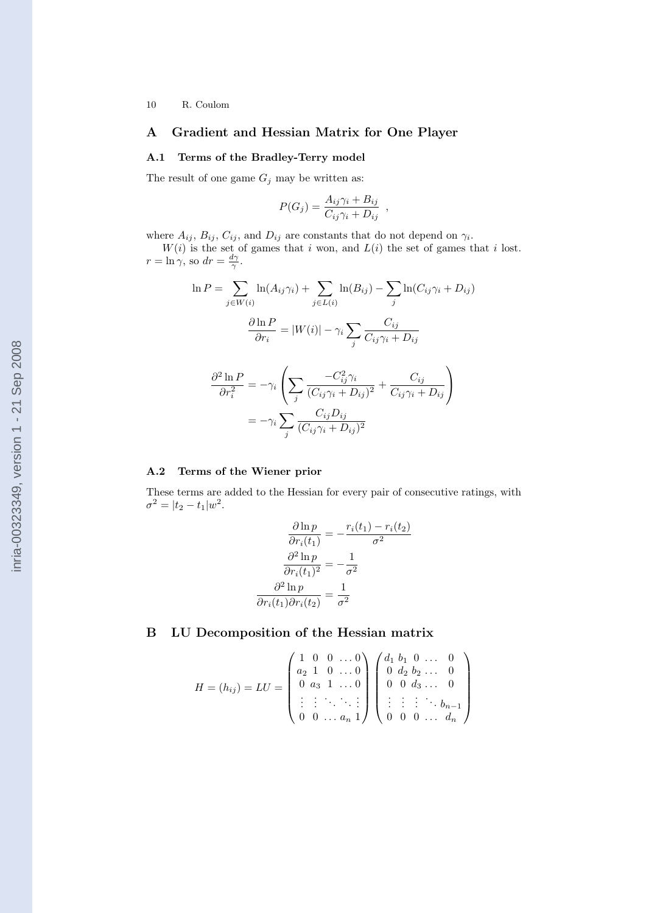# A Gradient and Hessian Matrix for One Player

#### A.1 Terms of the Bradley-Terry model

The result of one game  $G_j$  may be written as:

$$
P(G_j) = \frac{A_{ij}\gamma_i + B_{ij}}{C_{ij}\gamma_i + D_{ij}} ,
$$

where  $A_{ij}$ ,  $B_{ij}$ ,  $C_{ij}$ , and  $D_{ij}$  are constants that do not depend on  $\gamma_i$ .

 $W(i)$  is the set of games that i won, and  $L(i)$  the set of games that i lost.  $r = \ln \gamma$ , so  $dr = \frac{d\gamma}{\gamma}$ .

$$
\ln P = \sum_{j \in W(i)} \ln(A_{ij}\gamma_i) + \sum_{j \in L(i)} \ln(B_{ij}) - \sum_{j} \ln(C_{ij}\gamma_i + D_{ij})
$$

$$
\frac{\partial \ln P}{\partial r_i} = |W(i)| - \gamma_i \sum_{j} \frac{C_{ij}}{C_{ij}\gamma_i + D_{ij}}
$$

$$
\frac{\partial^2 \ln P}{\partial r_i^2} = -\gamma_i \left( \sum_{j} \frac{-C_{ij}^2 \gamma_i}{(C_{ij}\gamma_i + D_{ij})^2} + \frac{C_{ij}}{C_{ij}\gamma_i + D_{ij}} \right)
$$

$$
= -\gamma_i \sum_{j} \frac{C_{ij}D_{ij}}{(C_{ij}\gamma_i + D_{ij})^2}
$$

### A.2 Terms of the Wiener prior

These terms are added to the Hessian for every pair of consecutive ratings, with  $\sigma^2 = |t_2 - t_1| w^2.$ 

 $(C_{ij}\gamma_i+D_{ij})^2$ 

$$
\frac{\partial \ln p}{\partial r_i(t_1)} = -\frac{r_i(t_1) - r_i(t_2)}{\sigma^2}
$$

$$
\frac{\partial^2 \ln p}{\partial r_i(t_1)^2} = -\frac{1}{\sigma^2}
$$

$$
\frac{\partial^2 \ln p}{\partial r_i(t_1)\partial r_i(t_2)} = \frac{1}{\sigma^2}
$$

# B LU Decomposition of the Hessian matrix

j

$$
H = (h_{ij}) = LU = \begin{pmatrix} 1 & 0 & 0 & \dots & 0 \\ a_2 & 1 & 0 & \dots & 0 \\ 0 & a_3 & 1 & \dots & 0 \\ \vdots & \vdots & \ddots & \ddots & \vdots \\ 0 & 0 & \dots & a_n & 1 \end{pmatrix} \begin{pmatrix} d_1 & b_1 & 0 & \dots & 0 \\ 0 & d_2 & b_2 & \dots & 0 \\ 0 & 0 & d_3 & \dots & 0 \\ \vdots & \vdots & \vdots & \ddots & b_{n-1} \\ 0 & 0 & 0 & \dots & d_n \end{pmatrix}
$$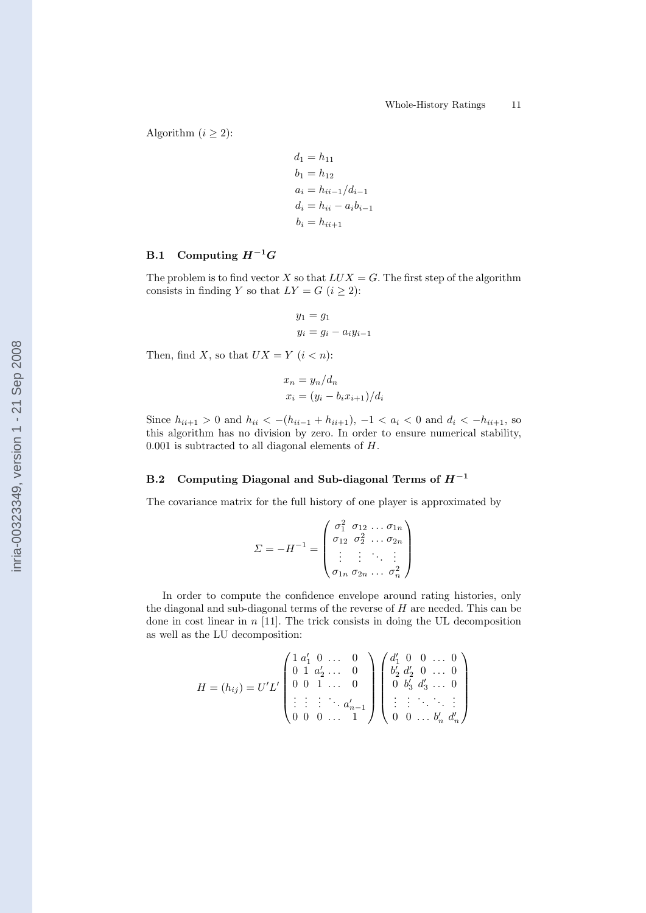Algorithm  $(i \geq 2)$ :

 $d_1 = h_{11}$  $b_1 = h_{12}$  $a_i = h_{ii-1}/d_{i-1}$  $d_i = h_{ii} - a_i b_{i-1}$  $b_i = h_{ii+1}$ 

# B.1 Computing  $H^{-1}G$

The problem is to find vector X so that  $LUX = G$ . The first step of the algorithm consists in finding Y so that  $LY = G$  ( $i \geq 2$ ):

$$
y_1 = g_1
$$
  

$$
y_i = g_i - a_i y_{i-1}
$$

Then, find X, so that  $UX = Y$   $(i < n)$ :

$$
x_n = y_n/d_n
$$
  

$$
x_i = (y_i - b_i x_{i+1})/d_i
$$

Since  $h_{ii+1} > 0$  and  $h_{ii} < -(h_{ii-1} + h_{ii+1}), -1 < a_i < 0$  and  $d_i < -h_{ii+1}$ , so this algorithm has no division by zero. In order to ensure numerical stability,  $0.001$  is subtracted to all diagonal elements of  $H$ .

## B.2 Computing Diagonal and Sub-diagonal Terms of  $H^{-1}$

The covariance matrix for the full history of one player is approximated by

$$
\Sigma = -H^{-1} = \begin{pmatrix} \sigma_1^2 & \sigma_1^2 & \dots & \sigma_{1n} \\ \sigma_{12} & \sigma_2^2 & \dots & \sigma_{2n} \\ \vdots & \vdots & \ddots & \vdots \\ \sigma_{1n} & \sigma_{2n} & \dots & \sigma_n^2 \end{pmatrix}
$$

In order to compute the confidence envelope around rating histories, only the diagonal and sub-diagonal terms of the reverse of  $H$  are needed. This can be done in cost linear in  $n$  [11]. The trick consists in doing the UL decomposition as well as the LU decomposition:

$$
H = (h_{ij}) = U'L' \begin{pmatrix} 1 & a'_{1} & 0 & \dots & 0 \\ 0 & 1 & a'_{2} & \dots & 0 \\ 0 & 0 & 1 & \dots & 0 \\ \vdots & \vdots & \vdots & \ddots & a'_{n-1} \\ 0 & 0 & 0 & \dots & 1 \end{pmatrix} \begin{pmatrix} d'_{1} & 0 & 0 & \dots & 0 \\ b'_{2} & d'_{2} & 0 & \dots & 0 \\ 0 & b'_{3} & d'_{3} & \dots & 0 \\ \vdots & \vdots & \ddots & \ddots & \vdots \\ 0 & 0 & \dots & b'_{n} & d'_{n} \end{pmatrix}
$$